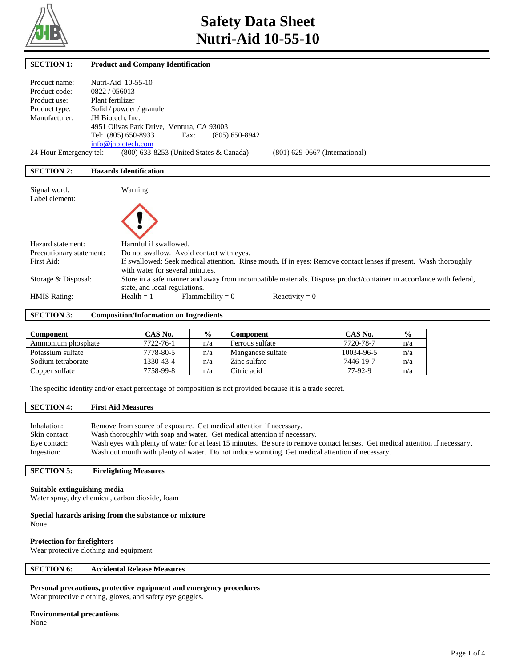

| <b>SECTION 1:</b>        |                               | <b>Product and Company Identification</b>                                                                          |  |  |  |
|--------------------------|-------------------------------|--------------------------------------------------------------------------------------------------------------------|--|--|--|
|                          |                               |                                                                                                                    |  |  |  |
| Product name:            | Nutri-Aid 10-55-10            |                                                                                                                    |  |  |  |
| Product code:            | 0822/056013                   |                                                                                                                    |  |  |  |
| Product use:             | Plant fertilizer              |                                                                                                                    |  |  |  |
| Product type:            | Solid / powder / granule      |                                                                                                                    |  |  |  |
| Manufacturer:            | JH Biotech, Inc.              |                                                                                                                    |  |  |  |
|                          |                               | 4951 Olivas Park Drive, Ventura, CA 93003                                                                          |  |  |  |
|                          | Tel: (805) 650-8933           | $(805) 650 - 8942$<br>Fax:                                                                                         |  |  |  |
|                          | info@jhbiotech.com            |                                                                                                                    |  |  |  |
| 24-Hour Emergency tel:   |                               | (800) 633-8253 (United States & Canada)<br>$(801)$ 629-0667 (International)                                        |  |  |  |
|                          |                               |                                                                                                                    |  |  |  |
| <b>SECTION 2:</b>        | <b>Hazards Identification</b> |                                                                                                                    |  |  |  |
|                          |                               |                                                                                                                    |  |  |  |
| Signal word:             |                               | Warning                                                                                                            |  |  |  |
| Label element:           |                               |                                                                                                                    |  |  |  |
|                          |                               |                                                                                                                    |  |  |  |
|                          |                               |                                                                                                                    |  |  |  |
|                          |                               |                                                                                                                    |  |  |  |
|                          |                               |                                                                                                                    |  |  |  |
| Hazard statement:        |                               | Harmful if swallowed.                                                                                              |  |  |  |
| Precautionary statement: |                               | Do not swallow. Avoid contact with eyes.                                                                           |  |  |  |
| First Aid:               |                               | If swallowed: Seek medical attention. Rinse mouth. If in eyes: Remove contact lenses if present. Wash thoroughly   |  |  |  |
|                          |                               | with water for several minutes.                                                                                    |  |  |  |
| Storage & Disposal:      |                               | Store in a safe manner and away from incompatible materials. Dispose product/container in accordance with federal, |  |  |  |
|                          |                               | state, and local regulations.                                                                                      |  |  |  |
| <b>HMIS Rating:</b>      |                               | $Flammability = 0$<br>$Health = 1$<br>Reactivity = $0$                                                             |  |  |  |
|                          |                               |                                                                                                                    |  |  |  |

**SECTION 3: Composition/Information on Ingredients** 

| Component          | CAS No.   | $\frac{6}{9}$ | Component         | CAS No.    | $\frac{6}{9}$ |
|--------------------|-----------|---------------|-------------------|------------|---------------|
| Ammonium phosphate | 7722-76-1 | n/a           | Ferrous sulfate   | 7720-78-7  | n/a           |
| Potassium sulfate  | 7778-80-5 | n/a           | Manganese sulfate | 10034-96-5 | n/a           |
| Sodium tetraborate | 1330-43-4 | n/a           | Zinc sulfate      | 7446-19-7  | n/a           |
| Copper sulfate     | 7758-99-8 | n/a           | Citric acid       | 77-92-9    | n/a           |

The specific identity and/or exact percentage of composition is not provided because it is a trade secret.

# **SECTION 4: First Aid Measures**  Inhalation: Remove from source of exposure. Get medical attention if necessary. Skin contact: Wash thoroughly with soap and water. Get medical attention if necessary. Eye contact: Wash eyes with plenty of water for at least 15 minutes. Be sure to remove contact lenses. Get medical attention if necessary.

Ingestion: Wash out mouth with plenty of water. Do not induce vomiting. Get medical attention if necessary.

# **SECTION 5: Firefighting Measures**

### **Suitable extinguishing media**

Water spray, dry chemical, carbon dioxide, foam

#### **Special hazards arising from the substance or mixture**

None

# **Protection for firefighters**

Wear protective clothing and equipment

# **SECTION 6: Accidental Release Measures**

# **Personal precautions, protective equipment and emergency procedures**

Wear protective clothing, gloves, and safety eye goggles.

# **Environmental precautions**

None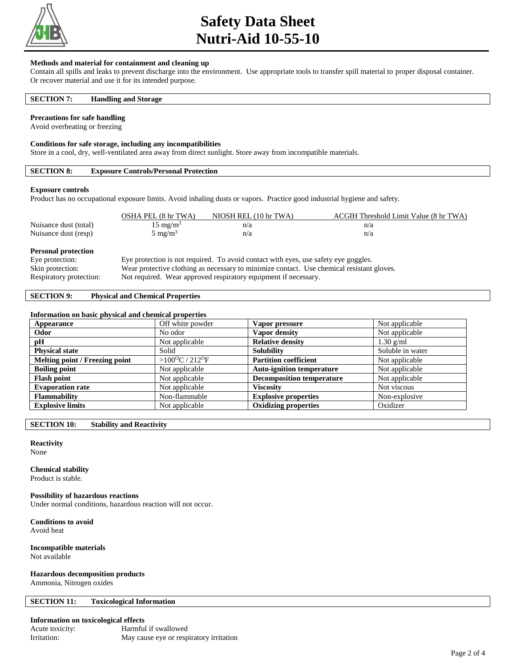

# **Safety Data Sheet Nutri-Aid 10-55-10**

#### **Methods and material for containment and cleaning up**

Contain all spills and leaks to prevent discharge into the environment. Use appropriate tools to transfer spill material to proper disposal container. Or recover material and use it for its intended purpose.

### **SECTION 7: Handling and Storage**

#### **Precautions for safe handling**

Avoid overheating or freezing

#### **Conditions for safe storage, including any incompatibilities**

Store in a cool, dry, well-ventilated area away from direct sunlight. Store away from incompatible materials.

# **SECTION 8: Exposure Controls/Personal Protection**

#### **Exposure controls**

Product has no occupational exposure limits. Avoid inhaling dusts or vapors. Practice good industrial hygiene and safety.

|                            | OSHA PEL (8 hr TWA)                                                                 | NIOSH REL (10 hr TWA) | ACGIH Threshold Limit Value (8 hr TWA) |  |  |
|----------------------------|-------------------------------------------------------------------------------------|-----------------------|----------------------------------------|--|--|
| Nuisance dust (total)      | $15 \text{ mg/m}^3$                                                                 | n/a                   | n/a                                    |  |  |
| Nuisance dust (resp)       | $5 \text{ mg/m}^3$                                                                  | n/a                   | n/a                                    |  |  |
| <b>Personal protection</b> |                                                                                     |                       |                                        |  |  |
| Eye protection:            | Eye protection is not required. To avoid contact with eyes, use safety eye goggles. |                       |                                        |  |  |

#### Skin protection: Wear protective clothing as necessary to minimize contact. Use chemical resistant gloves.

Respiratory protection: Not required. Wear approved respiratory equipment if necessary.

## **SECTION 9: Physical and Chemical Properties**

#### **Information on basic physical and chemical properties**

| Appearance                     | Off white powder                      | Vapor pressure                   | Not applicable   |
|--------------------------------|---------------------------------------|----------------------------------|------------------|
| Odor                           | No odor                               | Vapor density                    | Not applicable   |
| pH                             | Not applicable                        | <b>Relative density</b>          | $1.30$ g/ml      |
| <b>Physical state</b>          | Solid                                 | <b>Solubility</b>                | Soluble in water |
| Melting point / Freezing point | $>100^{\circ}$ C / 212 <sup>o</sup> F | <b>Partition coefficient</b>     | Not applicable   |
| <b>Boiling point</b>           | Not applicable                        | <b>Auto-ignition temperature</b> | Not applicable   |
| <b>Flash point</b>             | Not applicable                        | <b>Decomposition temperature</b> | Not applicable   |
| <b>Evaporation rate</b>        | Not applicable                        | <b>Viscosity</b>                 | Not viscous      |
| <b>Flammability</b>            | Non-flammable                         | <b>Explosive properties</b>      | Non-explosive    |
| <b>Explosive limits</b>        | Not applicable                        | <b>Oxidizing properties</b>      | Oxidizer         |

**SECTION 10: Stability and Reactivity** 

# **Reactivity**

None

#### **Chemical stability**

Product is stable.

#### **Possibility of hazardous reactions**

Under normal conditions, hazardous reaction will not occur.

**Conditions to avoid**

Avoid heat

#### **Incompatible materials** Not available

**Hazardous decomposition products**

Ammonia, Nitrogen oxides

#### **SECTION 11: Toxicological Information**

#### **Information on toxicological effects**

| Acute toxicity: | Harmful if swallowed                    |
|-----------------|-----------------------------------------|
| Irritation:     | May cause eye or respiratory irritation |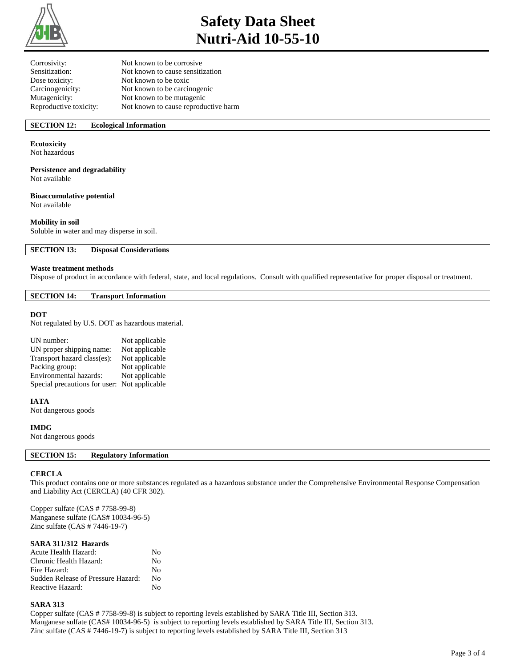

# **Safety Data Sheet Nutri-Aid 10-55-10**

| Not known to be corrosive            |
|--------------------------------------|
| Not known to cause sensitization     |
| Not known to be toxic                |
| Not known to be carcinogenic         |
| Not known to be mutagenic            |
| Not known to cause reproductive harm |
|                                      |

# **SECTION 12: Ecological Information**

## **Ecotoxicity**

Not hazardous

# **Persistence and degradability**

Not available

# **Bioaccumulative potential**

Not available

# **Mobility in soil**

Soluble in water and may disperse in soil.

**SECTION 13: Disposal Considerations** 

#### **Waste treatment methods**

Dispose of product in accordance with federal, state, and local regulations. Consult with qualified representative for proper disposal or treatment.

#### **SECTION 14: Transport Information**

#### **DOT**

Not regulated by U.S. DOT as hazardous material.

| UN number:                                   | Not applicable |
|----------------------------------------------|----------------|
| UN proper shipping name:                     | Not applicable |
| Transport hazard class(es):                  | Not applicable |
| Packing group:                               | Not applicable |
| Environmental hazards:                       | Not applicable |
| Special precautions for user: Not applicable |                |

#### **IATA**

Not dangerous goods

#### **IMDG**

Not dangerous goods

# **SECTION 15: Regulatory Information**

#### **CERCLA**

This product contains one or more substances regulated as a hazardous substance under the Comprehensive Environmental Response Compensation and Liability Act (CERCLA) (40 CFR 302).

Copper sulfate (CAS # 7758-99-8) Manganese sulfate (CAS# 10034-96-5) Zinc sulfate (CAS # 7446-19-7)

#### **SARA 311/312 Hazards**

| Acute Health Hazard:               | No      |
|------------------------------------|---------|
| Chronic Health Hazard:             | No      |
| Fire Hazard:                       | $N_{0}$ |
| Sudden Release of Pressure Hazard: | N٥      |
| Reactive Hazard:                   | N٥      |

#### **SARA 313**

Copper sulfate (CAS # 7758-99-8) is subject to reporting levels established by SARA Title III, Section 313. Manganese sulfate (CAS# 10034-96-5) is subject to reporting levels established by SARA Title III, Section 313. Zinc sulfate (CAS # 7446-19-7) is subject to reporting levels established by SARA Title III, Section 313